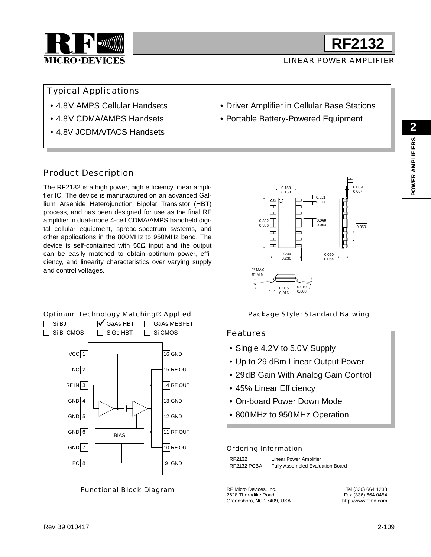

LINEAR POWER AMPLIFIER

**RF2132**

Typical Applications

- 4.8V AMPS Cellular Handsets
- 4.8V CDMA/AMPS Handsets
- 4.8V JCDMA/TACS Handsets

## • Driver Amplifier in Cellular Base Stations

• Portable Battery-Powered Equipment

### Product Description

The RF2132 is a high power, high efficiency linear amplifier IC. The device is manufactured on an advanced Gallium Arsenide Heterojunction Bipolar Transistor (HBT) process, and has been designed for use as the final RF amplifier in dual-mode 4-cell CDMA/AMPS handheld digital cellular equipment, spread-spectrum systems, and other applications in the 800MHz to 950MHz band. The device is self-contained with  $50\Omega$  input and the output can be easily matched to obtain optimum power, efficiency, and linearity characteristics over varying supply and control voltages.





Functional Block Diagram

Package Style: Standard Batwing

#### Features

- Single 4.2V to 5.0V Supply
- Up to 29 dBm Linear Output Power
- 29dB Gain With Analog Gain Control
- 45% Linear Efficiency
- On-board Power Down Mode
- 800MHz to 950MHz Operation

| Ordering Information                                                       |                                                            |                                                                 |  |  |  |
|----------------------------------------------------------------------------|------------------------------------------------------------|-----------------------------------------------------------------|--|--|--|
| RF2132<br>RF2132 PCBA                                                      | Linear Power Amplifier<br>Fully Assembled Evaluation Board |                                                                 |  |  |  |
| RF Micro Devices, Inc.<br>7628 Thorndike Road<br>Greensboro, NC 27409, USA |                                                            | Tel (336) 664 1233<br>Fax (336) 664 0454<br>http://www.rfmd.com |  |  |  |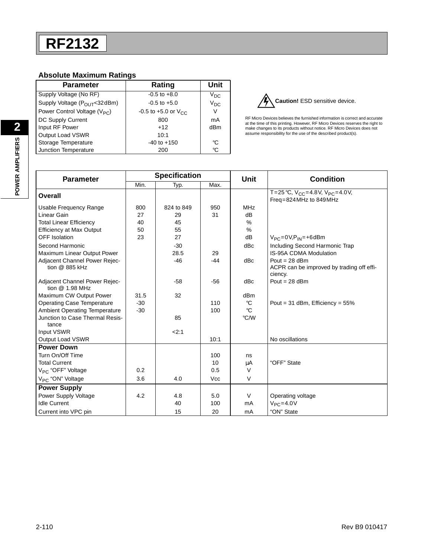#### **Absolute Maximum Ratings**

| <b>Parameter</b>                   | Rating                       | Unit     |
|------------------------------------|------------------------------|----------|
| Supply Voltage (No RF)             | $-0.5$ to $+8.0$             | $V_{DC}$ |
| Supply Voltage (POUT<32dBm)        | $-0.5$ to $+5.0$             | $V_{DC}$ |
| Power Control Voltage ( $V_{PC}$ ) | $-0.5$ to $+5.0$ or $V_{CC}$ | V        |
| DC Supply Current                  | 800                          | mA       |
| Input RF Power                     | $+12$                        | dBm      |
| Output Load VSWR                   | 10:1                         |          |
| Storage Temperature                | $-40$ to $+150$              | °C       |
| Junction Temperature               | 200                          | °C       |



RF Micro Devices believes the furnished information is correct and accurate at the time of this printing. However, RF Micro Devices reserves the right to make changes to its products without notice. RF Micro Devices does not assume responsibility for the use of the described product(s).

| <b>Parameter</b>                         | <b>Specification</b> |            |            | <b>Unit</b>     | <b>Condition</b>                                     |  |
|------------------------------------------|----------------------|------------|------------|-----------------|------------------------------------------------------|--|
|                                          | Min.                 | Typ.       | Max.       |                 |                                                      |  |
| Overall                                  |                      |            |            |                 | T=25 °C, $V_{CC}$ =4.8V, $V_{PC}$ =4.0V,             |  |
|                                          |                      |            |            |                 | Freq=824 MHz to 849 MHz                              |  |
| Usable Frequency Range                   | 800                  | 824 to 849 | 950        | <b>MHz</b>      |                                                      |  |
| Linear Gain                              | 27                   | 29         | 31         | dB              |                                                      |  |
| <b>Total Linear Efficiency</b>           | 40                   | 45         |            | %               |                                                      |  |
| <b>Efficiency at Max Output</b>          | 50                   | 55         |            | %               |                                                      |  |
| OFF Isolation                            | 23                   | 27         |            | dB              | $V_{PC} = 0V$ , $P_{IN} = +6$ dBm                    |  |
| Second Harmonic                          |                      | $-30$      |            | dBc             | Including Second Harmonic Trap                       |  |
| Maximum Linear Output Power              |                      | 28.5       | 29         |                 | <b>IS-95A CDMA Modulation</b>                        |  |
| Adjacent Channel Power Rejec-            |                      | $-46$      | $-44$      | dBc             | Pout = $28$ dBm                                      |  |
| tion @ 885 kHz                           |                      |            |            |                 | ACPR can be improved by trading off effi-<br>ciency. |  |
| Adjacent Channel Power Rejec-            |                      | $-58$      | $-56$      | dBc             | Pout = $28$ dBm                                      |  |
| tion @ 1.98 MHz                          |                      |            |            |                 |                                                      |  |
| Maximum CW Output Power                  | 31.5                 | 32         |            | dB <sub>m</sub> |                                                      |  |
| <b>Operating Case Temperature</b>        | $-30$                |            | 110        | °C              | Pout = $31$ dBm, Efficiency = $55\%$                 |  |
| <b>Ambient Operating Temperature</b>     | $-30$                |            | 100        | °C              |                                                      |  |
| Junction to Case Thermal Resis-<br>tance |                      | 85         |            | °C/W            |                                                      |  |
| Input VSWR                               |                      | 2:1        |            |                 |                                                      |  |
| <b>Output Load VSWR</b>                  |                      |            | 10:1       |                 | No oscillations                                      |  |
| <b>Power Down</b>                        |                      |            |            |                 |                                                      |  |
| Turn On/Off Time                         |                      |            | 100        | ns              |                                                      |  |
| <b>Total Current</b>                     |                      |            | 10         | μA              | "OFF" State                                          |  |
| V <sub>PC</sub> "OFF" Voltage            | 0.2                  |            | 0.5        | $\vee$          |                                                      |  |
| V <sub>PC</sub> "ON" Voltage             | 3.6                  | 4.0        | <b>Vcc</b> | $\vee$          |                                                      |  |
| <b>Power Supply</b>                      |                      |            |            |                 |                                                      |  |
| Power Supply Voltage                     | 4.2                  | 4.8        | 5.0        | $\vee$          | Operating voltage                                    |  |
| <b>Idle Current</b>                      |                      | 40         | 100        | mA              | $V_{PC} = 4.0V$                                      |  |
| Current into VPC pin                     |                      | 15         | 20         | mA              | "ON" State                                           |  |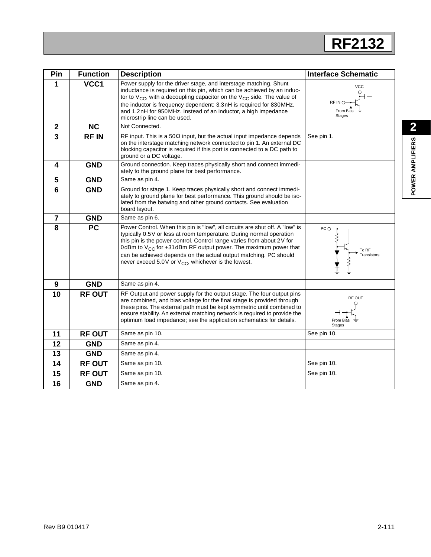# **RF2132**

| Pin            | <b>Function</b> | <b>Description</b>                                                                                                                                                                                                                                                                                                                                                                                                                         | <b>Interface Schematic</b>                          |
|----------------|-----------------|--------------------------------------------------------------------------------------------------------------------------------------------------------------------------------------------------------------------------------------------------------------------------------------------------------------------------------------------------------------------------------------------------------------------------------------------|-----------------------------------------------------|
| 1              | VCC1            | Power supply for the driver stage, and interstage matching. Shunt<br>inductance is required on this pin, which can be achieved by an induc-<br>tor to $V_{CC}$ , with a decoupling capacitor on the $V_{CC}$ side. The value of<br>the inductor is frequency dependent; 3.3nH is required for 830MHz,<br>and 1.2nH for 950MHz. Instead of an inductor, a high impedance<br>microstrip line can be used.                                    | <b>VCC</b><br>RF IN O<br>From Bias<br><b>Stages</b> |
| $\overline{2}$ | <b>NC</b>       | Not Connected.                                                                                                                                                                                                                                                                                                                                                                                                                             |                                                     |
| $\overline{3}$ | <b>RFIN</b>     | RF input. This is a 50 $\Omega$ input, but the actual input impedance depends<br>on the interstage matching network connected to pin 1. An external DC<br>blocking capacitor is required if this port is connected to a DC path to<br>ground or a DC voltage.                                                                                                                                                                              | See pin 1.                                          |
| 4              | <b>GND</b>      | Ground connection. Keep traces physically short and connect immedi-<br>ately to the ground plane for best performance.                                                                                                                                                                                                                                                                                                                     |                                                     |
| 5              | <b>GND</b>      | Same as pin 4.                                                                                                                                                                                                                                                                                                                                                                                                                             |                                                     |
| 6              | <b>GND</b>      | Ground for stage 1. Keep traces physically short and connect immedi-<br>ately to ground plane for best performance. This ground should be iso-<br>lated from the batwing and other ground contacts. See evaluation<br>board layout.                                                                                                                                                                                                        |                                                     |
| $\overline{7}$ | <b>GND</b>      | Same as pin 6.                                                                                                                                                                                                                                                                                                                                                                                                                             |                                                     |
| 8              | <b>PC</b>       | Power Control. When this pin is "low", all circuits are shut off. A "low" is<br>typically 0.5V or less at room temperature. During normal operation<br>this pin is the power control. Control range varies from about 2V for<br>0dBm to $V_{CC}$ for +31dBm RF output power. The maximum power that<br>can be achieved depends on the actual output matching. PC should<br>never exceed 5.0V or V <sub>CC</sub> , whichever is the lowest. | PCO<br>To RF<br>Transistors                         |
| 9              | <b>GND</b>      | Same as pin 4.                                                                                                                                                                                                                                                                                                                                                                                                                             |                                                     |
| 10             | <b>RF OUT</b>   | RF Output and power supply for the output stage. The four output pins<br>are combined, and bias voltage for the final stage is provided through<br>these pins. The external path must be kept symmetric until combined to<br>ensure stability. An external matching network is required to provide the<br>optimum load impedance; see the application schematics for details.                                                              | RF OUT<br>From Bias<br><b>Stages</b>                |
| 11             | <b>RF OUT</b>   | Same as pin 10.                                                                                                                                                                                                                                                                                                                                                                                                                            | See pin 10.                                         |
| 12             | <b>GND</b>      | Same as pin 4.                                                                                                                                                                                                                                                                                                                                                                                                                             |                                                     |
| 13             | <b>GND</b>      | Same as pin 4.                                                                                                                                                                                                                                                                                                                                                                                                                             |                                                     |
| 14             | <b>RF OUT</b>   | Same as pin 10.                                                                                                                                                                                                                                                                                                                                                                                                                            | See pin 10.                                         |
| 15             | <b>RF OUT</b>   | Same as pin 10.                                                                                                                                                                                                                                                                                                                                                                                                                            | See pin 10.                                         |
| 16             | <b>GND</b>      | Same as pin 4.                                                                                                                                                                                                                                                                                                                                                                                                                             |                                                     |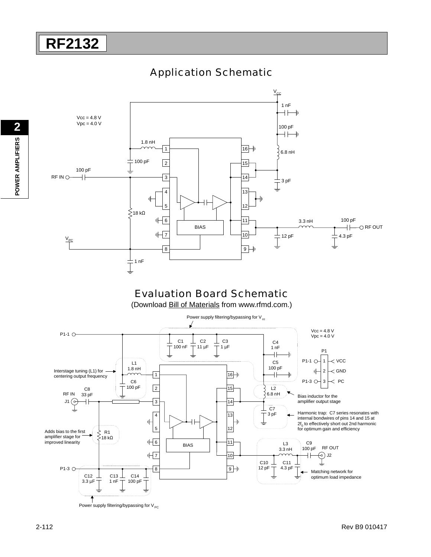### Application Schematic

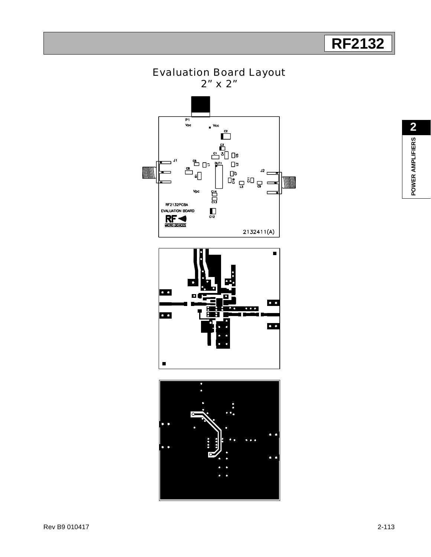